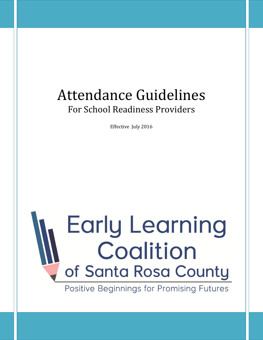## Attendance Guidelines For School Readiness Providers

Effective July 2016

# **Early Learning** Coalition of Santa Rosa County

Positive Beginnings for Promising Futures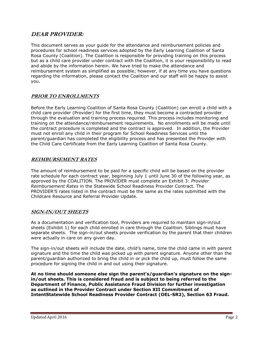#### **DEAR PROVIDER:**

This document serves as your guide for the attendance and reimbursement policies and procedures for school readiness services adopted by the Early Learning Coalition of Santa Rosa County (Coalition). The Coalition is responsible for providing training on this process but as a child care provider under contract with the Coalition, it is your responsibility to read and abide by the information herein. We have tried to make the attendance and reimbursement system as simplified as possible; however, if at any time you have questions regarding the information, please contact the Coalition and our staff will be happy to assist you.

#### **PRIOR TO ENROLLMENTS**

Before the Early Learning Coalition of Santa Rosa County (Coalition) can enroll a child with a child care provider (Provider) for the first time, they must become a contracted provider through the evaluation and training process required. This process includes monitoring and training on the attendance/reimbursement requirements. No enrollments will be made until the contract procedure is completed and the contract is approved. In addition, the Provider must not enroll any child in their program for School Readiness Services until the parent/guardian has completed the eligibility process and has presented the Provider with the Child Care Certificate from the Early Learning Coalition of Santa Rosa County.

#### **REIMBURSEMENT RATES**

The amount of reimbursement to be paid for a specific child will be based on the provider rate schedule for each contract year, beginning July 1 until June 30 of the following year, as approved by the COALITION. The PROVIDER must complete an Exhibit 3: *Provider Reimbursement Rates* in the Statewide School Readiness Provider Contract. The PROVIDER'S rates listed in the contract must be the same as the rates submitted with the Childcare Resource and Referral Provider Update.

#### **SIGN-IN/OUT SHEETS**

As a documentation and verification tool, Providers are required to maintain sign-in/out sheets (Exhibit 1) for each child enrolled in care through the Coalition. Siblings must have separate sheets. The sign-in/out sheets provide verification by the parent that their children were actually in care on any given day.

The sign-in/out sheets will include the date, child's name, time the child came in with parent signature and the time the child was picked up with parent signature. Anyone other than the parent/guardian authorized to bring the child in or pick the child up, must follow the same procedure for signing the child in and out using their signature.

**At no time should someone else sign the parent's/guardian's signature on the signin/out sheets. This is considered fraud and is subject to being referred to the Department of Finance, Public Assistance Fraud Division for further investigation as outlined in the Provider Contract under Section XII Commitment of IntentStatewide School Readiness Provider Contract (OEL-SR2), Section 63 Fraud.**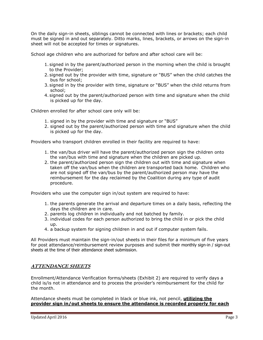On the daily sign-in sheets, siblings cannot be connected with lines or brackets; each child must be signed in and out separately. Ditto marks, lines, brackets, or arrows on the sign-in sheet will not be accepted for times or signatures.

School age children who are authorized for before and after school care will be:

- 1. signed in by the parent/authorized person in the morning when the child is brought to the Provider;
- 2. signed out by the provider with time, signature or "BUS" when the child catches the bus for school;
- 3. signed in by the provider with time, signature or "BUS" when the child returns from school;
- 4. signed out by the parent/authorized person with time and signature when the child is picked up for the day.

Children enrolled for after school care only will be:

- 1. signed in by the provider with time and signature or "BUS"
- 2. signed out by the parent/authorized person with time and signature when the child is picked up for the day.

Providers who transport children enrolled in their facility are required to have:

- 1. the van/bus driver will have the parent/authorized person sign the children onto the van/bus with time and signature when the children are picked up.
- 2. the parent/authorized person sign the children out with time and signature when taken off the van/bus when the children are transported back home. Children who are not signed off the van/bus by the parent/authorized person may have the reimbursement for the day reclaimed by the Coalition during any type of audit procedure.

Providers who use the computer sign in/out system are required to have:

- 1. the parents generate the arrival and departure times on a daily basis, reflecting the days the children are in care.
- 2. parents log children in individually and not batched by family.
- 3. individual codes for each person authorized to bring the child in or pick the child up.
- 4. a backup system for signing children in and out if computer system fails.

All Providers must maintain the sign-in/out sheets in their files for a minimum of five years for post attendance/reimbursement review purposes and submit their monthly sign-in / sign-out sheets at the time of their attendance sheet submission.

#### **ATTENDANCE SHEETS**

Enrollment/Attendance Verification forms/sheets (Exhibit 2) are required to verify days a child is/is not in attendance and to process the provider's reimbursement for the child for the month.

Attendance sheets must be completed in black or blue ink, not pencil, **utilizing the provider sign in/out sheets to ensure the attendance is recorded properly for each**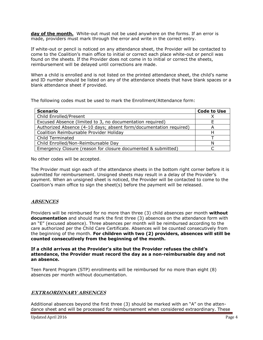**day of the month.** White-out must not be used anywhere on the forms. If an error is made, providers must mark through the error and write in the correct entry.

If white-out or pencil is noticed on any attendance sheet, the Provider will be contacted to come to the Coalition's main office to initial or correct each place white-out or pencil was found on the sheets. If the Provider does not come in to initial or correct the sheets, reimbursement will be delayed until corrections are made.

When a child is enrolled and is not listed on the printed attendance sheet, the child's name and ID number should be listed on any of the attendance sheets that have blank spaces or a blank attendance sheet if provided.

The following codes must be used to mark the Enrollment/Attendance form:

| <b>Scenario</b>                                                    | <b>Code to Use</b> |
|--------------------------------------------------------------------|--------------------|
| Child Enrolled/Present                                             |                    |
| Excused Absence (limited to 3, no documentation required)          |                    |
| Authorized Absence (4-10 days; absent form/documentation required) | А                  |
| Coalition Reimbursable Provider Holiday                            |                    |
| <b>Child Terminated</b>                                            |                    |
| Child Enrolled/Non-Reimbursable Day                                | N                  |
| Emergency Closure (reason for closure documented & submitted)      |                    |

No other codes will be accepted.

The Provider must sign each of the attendance sheets in the bottom right corner before it is submitted for reimbursement. Unsigned sheets may result in a delay of the Provider's payment. When an unsigned sheet is noticed, the Provider will be contacted to come to the Coalition's main office to sign the sheet(s) before the payment will be released.

#### **ABSENCES**

Providers will be reimbursed for no more than three (3) child absences per month **without documentation** and should mark the first three (3) absences on the attendance form with an "E" (excused absence). Three absences per month will be reimbursed according to the care authorized per the Child Care Certificate. Absences will be counted consecutively from the beginning of the month. **For children with two (2) providers, absences will still be counted consecutively from the beginning of the month.**

**If a child arrives at the Provider's site but the Provider refuses the child's attendance, the Provider must record the day as a non-reimbursable day and not an absence.**

Teen Parent Program (STP) enrollments will be reimbursed for no more than eight (8) absences per month without documentation.

#### **EXTRAORDINARY ABSENCES**

Additional absences beyond the first three (3) should be marked with an "A" on the attendance sheet and will be processed for reimbursement when considered extraordinary. These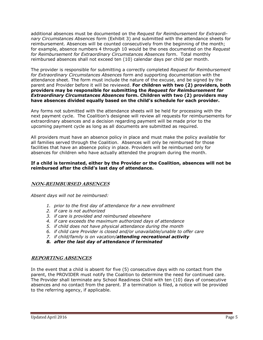additional absences must be documented on the *Request for Reimbursement for Extraordinary Circumstances Absences* form (Exhibit 3) and submitted with the attendance sheets for reimbursement. Absences will be counted consecutively from the beginning of the month; for example, absence numbers 4 through 10 would be the ones documented on the *Request for Reimbursement for Extraordinary Circumstances Absences* form. Total monthly reimbursed absences shall not exceed ten (10) calendar days per child per month.

The provider is responsible for submitting a correctly completed *Request for Reimbursement for Extraordinary Circumstances Absences* form and supporting documentation with the attendance sheet. The form must include the nature of the excuse, and be signed by the parent and Provider before it will be reviewed. **For children with two (2) providers, both providers may be responsible for submitting the** *Request for Reimbursement for Extraordinary Circumstances Absences* **form. Children with two (2) providers may have absences divided equally based on the child's schedule for each provider.**

Any forms not submitted with the attendance sheets will be held for processing with the next payment cycle. The Coalition's designee will review all requests for reimbursements for extraordinary absences and a decision regarding payment will be made prior to the upcoming payment cycle as long as all documents are submitted as required.

All providers must have an absence policy in place and must make the policy available for all families served through the Coalition. Absences will only be reimbursed for those facilities that have an absence policy in place. Providers will be reimbursed only for absences for children who have actually attended the program during the month.

#### **If a child is terminated, either by the Provider or the Coalition, absences will not be reimbursed after the child's last day of attendance.**

#### **NON-REIMBURSED ABSENCES**

*Absent days will not be reimbursed:*

- *1. prior to the first day of attendance for a new enrollment*
- *2. if care is not authorized*
- *3. if care is provided and reimbursed elsewhere*
- *4. if care exceeds the maximum authorized days of attendance*
- *5. if child does not have physical attendance during the month*
- *6. if child care Provider is closed and/or unavailable/unable to offer care*
- *7. if child/family is on vacation/attending recreational activity*
- *8. after the last day of attendance if terminated*

#### **REPORTING ABSENCES**

In the event that a child is absent for five (5) consecutive days with no contact from the parent, the PROVIDER must notify the Coalition to determine the need for continued care. The Provider shall terminate any School Readiness Child with ten (10) days of consecutive absences and no contact from the parent. If a termination is filed, a notice will be provided to the referring agency, if applicable.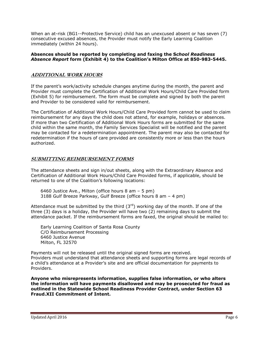When an at-risk (BG1--Protective Service) child has an unexcused absent or has seven (7) consecutive excused absences, the Provider must notify the Early Learning Coalition immediately (within 24 hours).

#### **Absences should be reported by completing and faxing the S***chool Readiness Absence Report* **form (Exhibit 4) to the Coalition's Milton Office at 850-983-5445.**

#### **ADDITIONAL WORK HOURS**

If the parent's work/activity schedule changes anytime during the month, the parent and Provider must complete the Certification of Additional Work Hours/Child Care Provided form (Exhibit 5) for reimbursement. The form must be complete and signed by both the parent and Provider to be considered valid for reimbursement.

The Certification of Additional Work Hours/Child Care Provided form cannot be used to claim reimbursement for any days the child does not attend, for example, holidays or absences. If more than two Certification of Additional Work Hours forms are submitted for the same child within the same month, the Family Services Specialist will be notified and the parent may be contacted for a redetermination appointment. The parent may also be contacted for redetermination if the hours of care provided are consistently more or less than the hours authorized.

#### **SUBMITTING REIMBURSEMENT FORMS**

The attendance sheets and sign in/out sheets, along with the Extraordinary Absence and Certification of Additional Work Hours/Child Care Provided forms, if applicable, should be returned to one of the Coalition's following locations:

6460 Justice Ave., Milton (office hours 8 am – 5 pm) 3188 Gulf Breeze Parkway, Gulf Breeze (office hours 8 am – 4 pm)

Attendance must be submitted by the third  $(3<sup>rd</sup>)$  working day of the month. If one of the three (3) days is a holiday, the Provider will have two (2) remaining days to submit the attendance packet. If the reimbursement forms are faxed, the original should be mailed to:

Early Learning Coalition of Santa Rosa County C/O Reimbursement Processing 6460 Justice Avenue Milton, FL 32570

Payments will not be released until the original signed forms are received. Providers must understand that attendance sheets and supporting forms are legal records of a child's attendance at a Provider's site and are official documentation for payments to Providers.

**Anyone who misrepresents information, supplies false information, or who alters the information will have payments disallowed and may be prosecuted for fraud as outlined in the Statewide School Readiness Provider Contract, under Section 63 Fraud.XII Commitment of Intent.**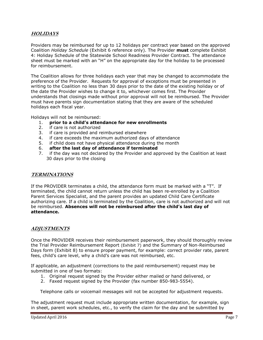#### **HOLIDAYS**

Providers may be reimbursed for up to 12 holidays per contract year based on the approved Coalition *Holiday Schedule* (Exhibit 6 reference only). The Provider **must** complete Exhibit 4: Holiday Schedule of the Statewide School Readiness Provider Contract. The attendance sheet must be marked with an "H" on the appropriate day for the holiday to be processed for reimbursement.

The Coalition allows for three holidays each year that may be changed to accommodate the preference of the Provider. Requests for approval of exceptions must be presented in writing to the Coalition no less than 30 days prior to the date of the existing holiday or of the date the Provider wishes to change it to, whichever comes first. The Provider understands that closings made without prior approval will not be reimbursed. The Provider must have parents sign documentation stating that they are aware of the scheduled holidays each fiscal year.

Holidays will not be reimbursed:

- 1. **prior to a child's attendance for new enrollments**
- 2. if care is not authorized
- 3. if care is provided and reimbursed elsewhere
- 4. if care exceeds the maximum authorized days of attendance
- 5. if child does not have physical attendance during the month
- 6. **after the last day of attendance if terminated**
- 7. if the day was not declared by the Provider and approved by the Coalition at least 30 days prior to the closing

#### **TERMINATIONS**

If the PROVIDER terminates a child, the attendance form must be marked with a "T". If terminated, the child cannot return unless the child has been re-enrolled by a Coalition Parent Services Specialist, and the parent provides an updated Child Care Certificate authorizing care. If a child is terminated by the Coalition, care is not authorized and will not be reimbursed. **Absences will not be reimbursed after the child's last day of attendance.**

#### **ADJUSTMENTS**

Once the PROVIDER receives their reimbursement paperwork, they should thoroughly review the Trial Provider Reimbursement Report (Exhibit 7) and the Summary of Non-Reimbursed Days form (Exhibit 8) to ensure proper payment, for example: correct provider rate, parent fees, child's care level, why a child's care was not reimbursed, etc.

If applicable, an adjustment (corrections to the paid reimbursement) request may be submitted in one of two formats:

- 1. Original request signed by the Provider either mailed or hand delivered, or
- 2. Faxed request signed by the Provider (fax number 850-983-5554).

Telephone calls or voicemail messages will not be accepted for adjustment requests.

The adjustment request must include appropriate written documentation, for example, sign in sheet, parent work schedules, etc., to verify the claim for the day and be submitted by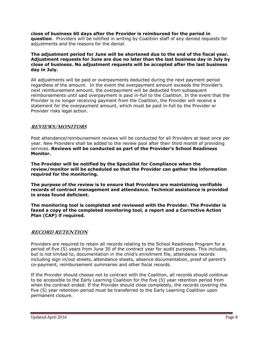**close of business 60 days after the Provider is reimbursed for the period in question**. Providers will be notified in writing by Coalition staff of any denied requests for adjustments and the reasons for the denial.

**The adjustment period for June will be shortened due to the end of the fiscal year. Adjustment requests for June are due no later than the last business day in July by close of business. No adjustment requests will be accepted after the last business day in July.**

All adjustments will be paid or overpayments deducted during the next payment period regardless of the amount. In the event the overpayment amount exceeds the Provider's next reimbursement amount, the overpayment will be deducted from subsequent reimbursements until said overpayment is paid in-full to the Coalition. In the event that the Provider is no longer receiving payment from the Coalition, the Provider will receive a statement for the overpayment amount, which must be paid in-full by the Provider or Provider risks legal action.

#### **REVIEWS/MONITORS**

Post attendance/reimbursement reviews will be conducted for all Providers at least once per year. New Providers shall be added to the review pool after their third month of providing services. **Reviews will be conducted as part of the Provider's School Readiness Monitor.**

**The Provider will be notified by the Specialist for Compliance when the review/monitor will be scheduled so that the Provider can gather the information required for the monitoring.** 

**The purpose of the review is to ensure that Providers are maintaining verifiable records of contract management and attendance. Technical assistance is provided in areas found deficient.**

**The monitoring tool is completed and reviewed with the Provider. The Provider is faxed a copy of the completed monitoring tool, a report and a Corrective Action Plan (CAP) if required.**

#### **RECORD RETENTION**

Providers are required to retain all records relating to the School Readiness Program for a period of five (5) years from June 30 of the contract year for audit purposes. This includes, but is not limited to, documentation in the child's enrollment file, attendance records including sign in/out sheets, attendance sheets, absence documentation, proof of parent's co-payment, reimbursement summaries and other fiscal records.

If the Provider should choose not to contract with the Coalition, all records should continue to be accessible to the Early Learning Coalition for the five (5) year retention period from when the contract ended. If the Provider should close completely, the records covering the five (5) year retention period must be transferred to the Early Learning Coalition upon permanent closure.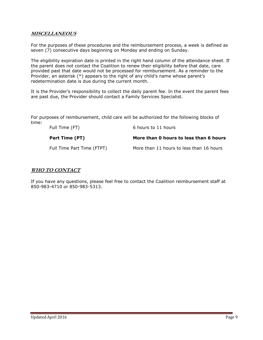#### **MISCELLANEOUS**

For the purposes of these procedures and the reimbursement process, a week is defined as seven (7) consecutive days beginning on Monday and ending on Sunday.

The eligibility expiration date is printed in the right hand column of the attendance sheet. If the parent does not contact the Coalition to renew their eligibility before that date, care provided past that date would not be processed for reimbursement. As a reminder to the Provider, an asterisk (\*) appears to the right of any child's name whose parent's redetermination date is due during the current month.

It is the Provider's responsibility to collect the daily parent fee. In the event the parent fees are past due, the Provider should contact a Family Services Specialist.

For purposes of reimbursement, child care will be authorized for the following blocks of time:

| Full Time (FT)             | 6 hours to 11 hours                      |
|----------------------------|------------------------------------------|
| Part Time (PT)             | More than 0 hours to less than 6 hours   |
| Full Time Part Time (FTPT) | More than 11 hours to less than 16 hours |

#### **WHO TO CONTACT**

If you have any questions, please feel free to contact the Coalition reimbursement staff at 850-983-4710 or 850-983-5313.